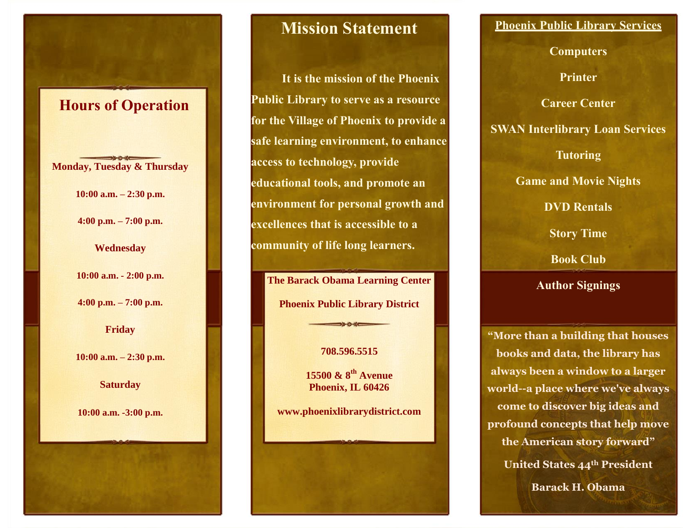# **Hours of Operation**

**Monday, Tuesday & Thursday**

**10:00 a.m. – 2:30 p.m.**

**4:00 p.m. – 7:00 p.m.**

**Wednesday**

**10:00 a.m. - 2:00 p.m.**

**4:00 p.m. – 7:00 p.m.**

**Friday**

**10:00 a.m. – 2:30 p.m.**

**Saturday**

**10:00 a.m. -3:00 p.m.**

## **Mission Statement**

**It is the mission of the Phoenix Public Library to serve as a resource for the Village of Phoenix to provide a safe learning environment, to enhance access to technology, provide educational tools, and promote an environment for personal growth and excellences that is accessible to a community of life long learners.**

**The Barack Obama Learning Center Phoenix Public Library District**

### **708.596.5515**

**15500 & 8th Avenue Phoenix, IL 60426**

**www.phoenixlibrarydistrict.com**

## **Phoenix Public Library Services**

**Computers**

**Printer**

**Career Center**

**SWAN Interlibrary Loan Services**

**Tutoring**

**Game and Movie Nights**

**DVD Rentals**

**Story Time**

**Book Club**

**Author Signings**

**"More than a building that houses books and data, the library has always been a window to a larger world--a place where we've always come to discover big ideas and profound concepts that help move the American story forward" United States 44th President Barack H. Obama**